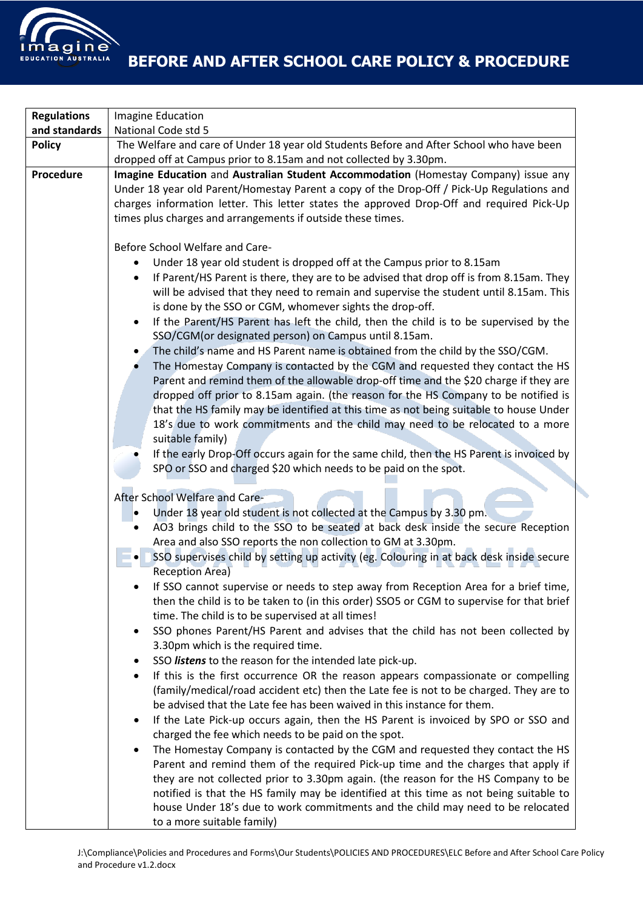

 **BEFORE AND AFTER SCHOOL CARE POLICY & PROCEDURE**

| <b>Regulations</b> | Imagine Education                                                                                                                                                                                                                                                                                                                                                                                                                                                                                                                                            |  |  |
|--------------------|--------------------------------------------------------------------------------------------------------------------------------------------------------------------------------------------------------------------------------------------------------------------------------------------------------------------------------------------------------------------------------------------------------------------------------------------------------------------------------------------------------------------------------------------------------------|--|--|
| and standards      | National Code std 5                                                                                                                                                                                                                                                                                                                                                                                                                                                                                                                                          |  |  |
| <b>Policy</b>      | The Welfare and care of Under 18 year old Students Before and After School who have been                                                                                                                                                                                                                                                                                                                                                                                                                                                                     |  |  |
|                    | dropped off at Campus prior to 8.15am and not collected by 3.30pm.                                                                                                                                                                                                                                                                                                                                                                                                                                                                                           |  |  |
| Procedure          | Imagine Education and Australian Student Accommodation (Homestay Company) issue any<br>Under 18 year old Parent/Homestay Parent a copy of the Drop-Off / Pick-Up Regulations and<br>charges information letter. This letter states the approved Drop-Off and required Pick-Up<br>times plus charges and arrangements if outside these times.                                                                                                                                                                                                                 |  |  |
|                    | Before School Welfare and Care-                                                                                                                                                                                                                                                                                                                                                                                                                                                                                                                              |  |  |
|                    | Under 18 year old student is dropped off at the Campus prior to 8.15am<br>٠<br>If Parent/HS Parent is there, they are to be advised that drop off is from 8.15am. They<br>$\bullet$<br>will be advised that they need to remain and supervise the student until 8.15am. This<br>is done by the SSO or CGM, whomever sights the drop-off.<br>If the Parent/HS Parent has left the child, then the child is to be supervised by the<br>$\bullet$<br>SSO/CGM(or designated person) on Campus until 8.15am.                                                      |  |  |
|                    | The child's name and HS Parent name is obtained from the child by the SSO/CGM.<br>$\bullet$<br>The Homestay Company is contacted by the CGM and requested they contact the HS<br>Parent and remind them of the allowable drop-off time and the \$20 charge if they are<br>dropped off prior to 8.15am again. (the reason for the HS Company to be notified is<br>that the HS family may be identified at this time as not being suitable to house Under<br>18's due to work commitments and the child may need to be relocated to a more<br>suitable family) |  |  |
|                    | If the early Drop-Off occurs again for the same child, then the HS Parent is invoiced by<br>SPO or SSO and charged \$20 which needs to be paid on the spot.                                                                                                                                                                                                                                                                                                                                                                                                  |  |  |
|                    | After School Welfare and Care-<br>Under 18 year old student is not collected at the Campus by 3.30 pm.<br>$\bullet$<br>AO3 brings child to the SSO to be seated at back desk inside the secure Reception<br>Area and also SSO reports the non collection to GM at 3.30pm.<br>SSO supervises child by setting up activity (eg. Colouring in at back desk inside secure<br>Reception Area)                                                                                                                                                                     |  |  |
|                    | If SSO cannot supervise or needs to step away from Reception Area for a brief time,<br>then the child is to be taken to (in this order) SSO5 or CGM to supervise for that brief<br>time. The child is to be supervised at all times!                                                                                                                                                                                                                                                                                                                         |  |  |
|                    | SSO phones Parent/HS Parent and advises that the child has not been collected by<br>$\bullet$<br>3.30pm which is the required time.<br>SSO listens to the reason for the intended late pick-up.<br>٠                                                                                                                                                                                                                                                                                                                                                         |  |  |
|                    | If this is the first occurrence OR the reason appears compassionate or compelling<br>$\bullet$<br>(family/medical/road accident etc) then the Late fee is not to be charged. They are to<br>be advised that the Late fee has been waived in this instance for them.<br>If the Late Pick-up occurs again, then the HS Parent is invoiced by SPO or SSO and<br>$\bullet$<br>charged the fee which needs to be paid on the spot.                                                                                                                                |  |  |
|                    | The Homestay Company is contacted by the CGM and requested they contact the HS<br>٠<br>Parent and remind them of the required Pick-up time and the charges that apply if<br>they are not collected prior to 3.30pm again. (the reason for the HS Company to be<br>notified is that the HS family may be identified at this time as not being suitable to<br>house Under 18's due to work commitments and the child may need to be relocated<br>to a more suitable family)                                                                                    |  |  |